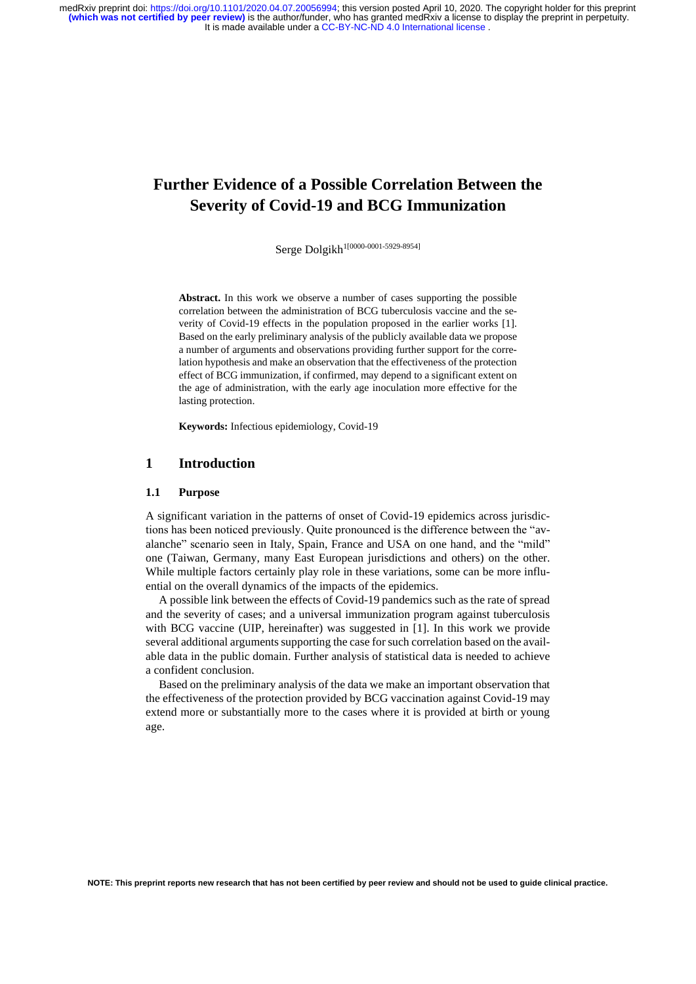# **Further Evidence of a Possible Correlation Between the Severity of Covid-19 and BCG Immunization**

Serge Dolgikh<sup>1[0000-0001-5929-8954]</sup>

**Abstract.** In this work we observe a number of cases supporting the possible correlation between the administration of BCG tuberculosis vaccine and the severity of Covid-19 effects in the population proposed in the earlier works [1]. Based on the early preliminary analysis of the publicly available data we propose a number of arguments and observations providing further support for the correlation hypothesis and make an observation that the effectiveness of the protection effect of BCG immunization, if confirmed, may depend to a significant extent on the age of administration, with the early age inoculation more effective for the lasting protection.

**Keywords:** Infectious epidemiology, Covid-19

# **1 Introduction**

### **1.1 Purpose**

A significant variation in the patterns of onset of Covid-19 epidemics across jurisdictions has been noticed previously. Quite pronounced is the difference between the "avalanche" scenario seen in Italy, Spain, France and USA on one hand, and the "mild" one (Taiwan, Germany, many East European jurisdictions and others) on the other. While multiple factors certainly play role in these variations, some can be more influential on the overall dynamics of the impacts of the epidemics.

A possible link between the effects of Covid-19 pandemics such as the rate of spread and the severity of cases; and a universal immunization program against tuberculosis with BCG vaccine (UIP, hereinafter) was suggested in [1]. In this work we provide several additional argumentssupporting the case forsuch correlation based on the available data in the public domain. Further analysis of statistical data is needed to achieve a confident conclusion.

Based on the preliminary analysis of the data we make an important observation that the effectiveness of the protection provided by BCG vaccination against Covid-19 may extend more or substantially more to the cases where it is provided at birth or young age.

**NOTE: This preprint reports new research that has not been certified by peer review and should not be used to guide clinical practice.**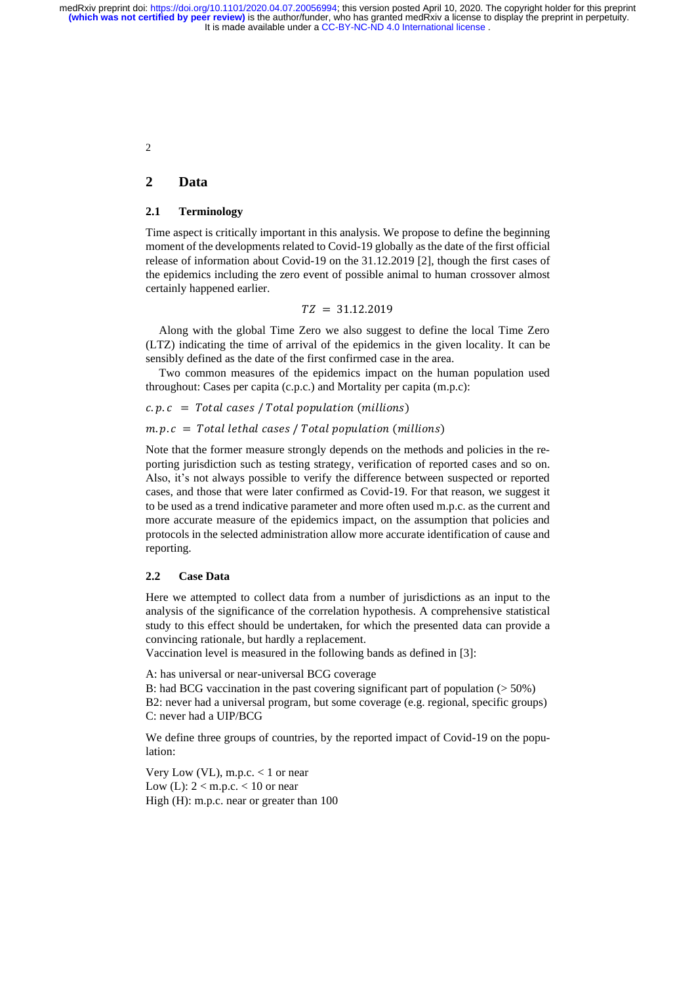2

# **2 Data**

# **2.1 Terminology**

Time aspect is critically important in this analysis. We propose to define the beginning moment of the developments related to Covid-19 globally as the date of the first official release of information about Covid-19 on the 31.12.2019 [2], though the first cases of the epidemics including the zero event of possible animal to human crossover almost certainly happened earlier.

 $TZ = 31.12.2019$ 

Along with the global Time Zero we also suggest to define the local Time Zero (LTZ) indicating the time of arrival of the epidemics in the given locality. It can be sensibly defined as the date of the first confirmed case in the area.

Two common measures of the epidemics impact on the human population used throughout: Cases per capita (c.p.c.) and Mortality per capita (m.p.c):

$$
c.p.c = Total cases / Total population (millions)
$$

 $m.p.c = Total lethal cases / Total population (millions)$ 

Note that the former measure strongly depends on the methods and policies in the reporting jurisdiction such as testing strategy, verification of reported cases and so on. Also, it's not always possible to verify the difference between suspected or reported cases, and those that were later confirmed as Covid-19. For that reason, we suggest it to be used as a trend indicative parameter and more often used m.p.c. as the current and more accurate measure of the epidemics impact, on the assumption that policies and protocols in the selected administration allow more accurate identification of cause and reporting.

### **2.2 Case Data**

Here we attempted to collect data from a number of jurisdictions as an input to the analysis of the significance of the correlation hypothesis. A comprehensive statistical study to this effect should be undertaken, for which the presented data can provide a convincing rationale, but hardly a replacement.

Vaccination level is measured in the following bands as defined in [3]:

A: has universal or near-universal BCG coverage

B: had BCG vaccination in the past covering significant part of population ( $> 50\%$ ) B2: never had a universal program, but some coverage (e.g. regional, specific groups) C: never had a UIP/BCG

We define three groups of countries, by the reported impact of Covid-19 on the population:

Very Low (VL), m.p.c.  $< 1$  or near Low (L):  $2 < m.p.c. < 10$  or near High (H): m.p.c. near or greater than 100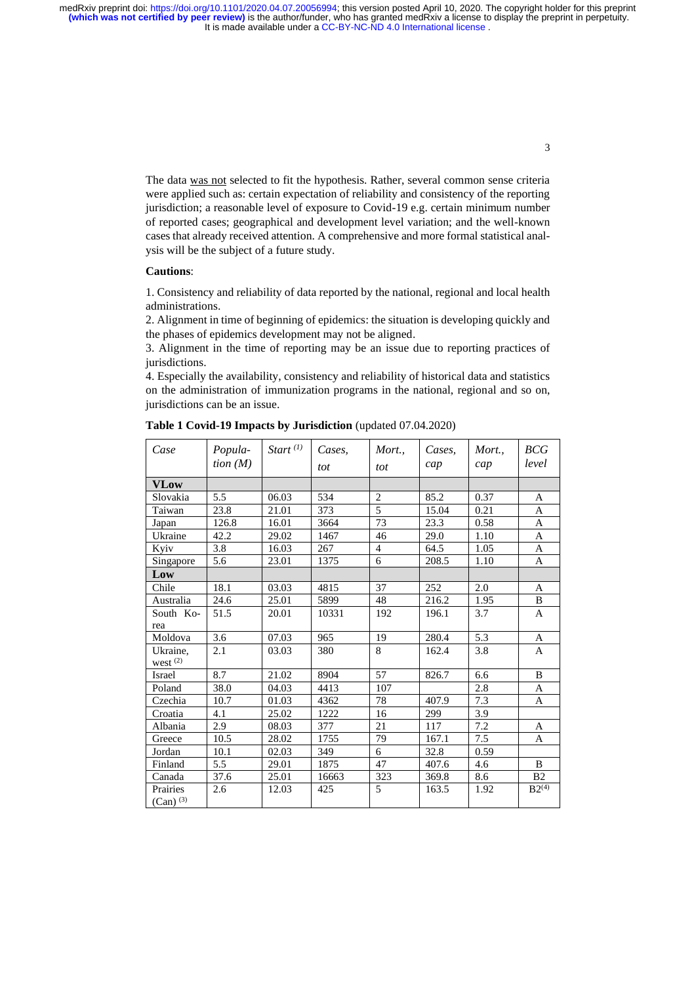It is made available under a [CC-BY-NC-ND 4.0 International license](http://creativecommons.org/licenses/by-nc-nd/4.0/) . medRxiv preprint doi: [https://doi.org/10.1101/2020.04.07.20056994;](https://doi.org/10.1101/2020.04.07.20056994) this version posted April 10, 2020. The copyright holder for this preprint<br>(which was not certified by peer review) is the author/funder, who has granted m

> The data was not selected to fit the hypothesis. Rather, several common sense criteria were applied such as: certain expectation of reliability and consistency of the reporting jurisdiction; a reasonable level of exposure to Covid-19 e.g. certain minimum number of reported cases; geographical and development level variation; and the well-known cases that already received attention. A comprehensive and more formal statistical analysis will be the subject of a future study.

### **Cautions**:

1. Consistency and reliability of data reported by the national, regional and local health administrations.

2. Alignment in time of beginning of epidemics: the situation is developing quickly and the phases of epidemics development may not be aligned.

3. Alignment in the time of reporting may be an issue due to reporting practices of jurisdictions.

4. Especially the availability, consistency and reliability of historical data and statistics on the administration of immunization programs in the national, regional and so on, jurisdictions can be an issue.

| Case                               | Popula-<br>tion $(M)$ | Start $(1)$ | Cases,<br>tot | Mort.,<br>tot  | Cases,<br>cap | Mort.,<br>cap | BCG<br>level   |
|------------------------------------|-----------------------|-------------|---------------|----------------|---------------|---------------|----------------|
| VLow                               |                       |             |               |                |               |               |                |
| Slovakia                           | 5.5                   | 06.03       | 534           | $\sqrt{2}$     | 85.2          | 0.37          | A              |
| Taiwan                             | 23.8                  | 21.01       | 373           | 5              | 15.04         | 0.21          | A              |
| Japan                              | 126.8                 | 16.01       | 3664          | 73             | 23.3          | 0.58          | A              |
| Ukraine                            | 42.2                  | 29.02       | 1467          | 46             | 29.0          | 1.10          | A              |
| Kyiv                               | 3.8                   | 16.03       | 267           | $\overline{4}$ | 64.5          | 1.05          | A              |
| Singapore                          | 5.6                   | 23.01       | 1375          | 6              | 208.5         | 1.10          | A              |
| Low                                |                       |             |               |                |               |               |                |
| Chile                              | 18.1                  | 03.03       | 4815          | 37             | 252           | 2.0           | A              |
| Australia                          | 24.6                  | 25.01       | 5899          | 48             | 216.2         | 1.95          | B              |
| South Ko-                          | 51.5                  | 20.01       | 10331         | 192            | 196.1         | 3.7           | A              |
| rea                                |                       |             |               |                |               |               |                |
| Moldova                            | 3.6                   | 07.03       | 965           | 19             | 280.4         | 5.3           | A              |
| Ukraine.<br>west $(2)$             | 2.1                   | 03.03       | 380           | 8              | 162.4         | 3.8           | A              |
| Israel                             | 8.7                   | 21.02       | 8904          | 57             | 826.7         | 6.6           | B              |
| Poland                             | 38.0                  | 04.03       | 4413          | 107            |               | 2.8           | A              |
| Czechia                            | 10.7                  | 01.03       | 4362          | 78             | 407.9         | 7.3           | A              |
| Croatia                            | 4.1                   | 25.02       | 1222          | 16             | 299           | 3.9           |                |
| Albania                            | 2.9                   | 08.03       | 377           | 21             | 117           | 7.2           | A              |
| Greece                             | 10.5                  | 28.02       | 1755          | 79             | 167.1         | 7.5           | A              |
| Jordan                             | 10.1                  | 02.03       | 349           | 6              | 32.8          | 0.59          |                |
| Finland                            | 5.5                   | 29.01       | 1875          | 47             | 407.6         | 4.6           | B              |
| Canada                             | 37.6                  | 25.01       | 16663         | 323            | 369.8         | 8.6           | B <sub>2</sub> |
| Prairies<br>$(Can)$ <sup>(3)</sup> | 2.6                   | 12.03       | 425           | 5              | 163.5         | 1.92          | $B2^{(4)}$     |

**Table 1 Covid-19 Impacts by Jurisdiction** (updated 07.04.2020)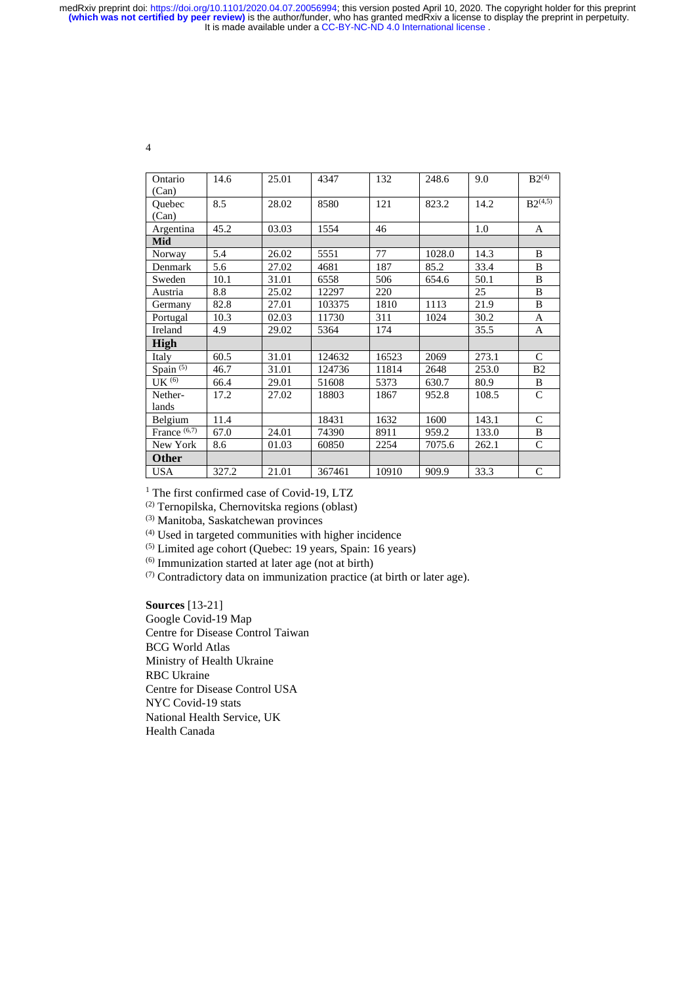It is made available under a [CC-BY-NC-ND 4.0 International license](http://creativecommons.org/licenses/by-nc-nd/4.0/) . medRxiv preprint doi: [https://doi.org/10.1101/2020.04.07.20056994;](https://doi.org/10.1101/2020.04.07.20056994) this version posted April 10, 2020. The copyright holder for this preprint<br>(which was not certified by peer review) is the author/funder, who has granted m

4

| Ontario           | 14.6  | 25.01 | 4347   | 132   | 248.6  | 9.0   | $B2^{(4)}$     |
|-------------------|-------|-------|--------|-------|--------|-------|----------------|
| (Can)             |       |       |        |       |        |       |                |
| Ouebec            | 8.5   | 28.02 | 8580   | 121   | 823.2  | 14.2  | $B2^{(4,5)}$   |
| (Can)             |       |       |        |       |        |       |                |
| Argentina         | 45.2  | 03.03 | 1554   | 46    |        | 1.0   | A              |
| Mid               |       |       |        |       |        |       |                |
| Norway            | 5.4   | 26.02 | 5551   | 77    | 1028.0 | 14.3  | B              |
| Denmark           | 5.6   | 27.02 | 4681   | 187   | 85.2   | 33.4  | B              |
| Sweden            | 10.1  | 31.01 | 6558   | 506   | 654.6  | 50.1  | B              |
| Austria           | 8.8   | 25.02 | 12297  | 220   |        | 25    | B              |
| Germany           | 82.8  | 27.01 | 103375 | 1810  | 1113   | 21.9  | B              |
| Portugal          | 10.3  | 02.03 | 11730  | 311   | 1024   | 30.2  | A              |
| Ireland           | 4.9   | 29.02 | 5364   | 174   |        | 35.5  | A              |
| <b>High</b>       |       |       |        |       |        |       |                |
| Italy             | 60.5  | 31.01 | 124632 | 16523 | 2069   | 273.1 | $\mathcal{C}$  |
| Spain $(5)$       | 46.7  | 31.01 | 124736 | 11814 | 2648   | 253.0 | B <sub>2</sub> |
| UK <sup>(6)</sup> | 66.4  | 29.01 | 51608  | 5373  | 630.7  | 80.9  | B              |
| Nether-           | 17.2  | 27.02 | 18803  | 1867  | 952.8  | 108.5 | $\mathcal{C}$  |
| lands             |       |       |        |       |        |       |                |
| Belgium           | 11.4  |       | 18431  | 1632  | 1600   | 143.1 | $\mathsf{C}$   |
| France $(6,7)$    | 67.0  | 24.01 | 74390  | 8911  | 959.2  | 133.0 | B              |
| New York          | 8.6   | 01.03 | 60850  | 2254  | 7075.6 | 262.1 | $\mathcal{C}$  |
| <b>Other</b>      |       |       |        |       |        |       |                |
| <b>USA</b>        | 327.2 | 21.01 | 367461 | 10910 | 909.9  | 33.3  | $\mathcal{C}$  |

<sup>1</sup> The first confirmed case of Covid-19, LTZ

(2) Ternopilska, Chernovitska regions (oblast)

(3) Manitoba, Saskatchewan provinces

(4) Used in targeted communities with higher incidence

(5) Limited age cohort (Quebec: 19 years, Spain: 16 years)

(6) Immunization started at later age (not at birth)

(7) Contradictory data on immunization practice (at birth or later age).

**Sources** [13-21] Google Covid-19 Map Centre for Disease Control Taiwan BCG World Atlas Ministry of Health Ukraine RBC Ukraine Centre for Disease Control USA NYC Covid-19 stats National Health Service, UK Health Canada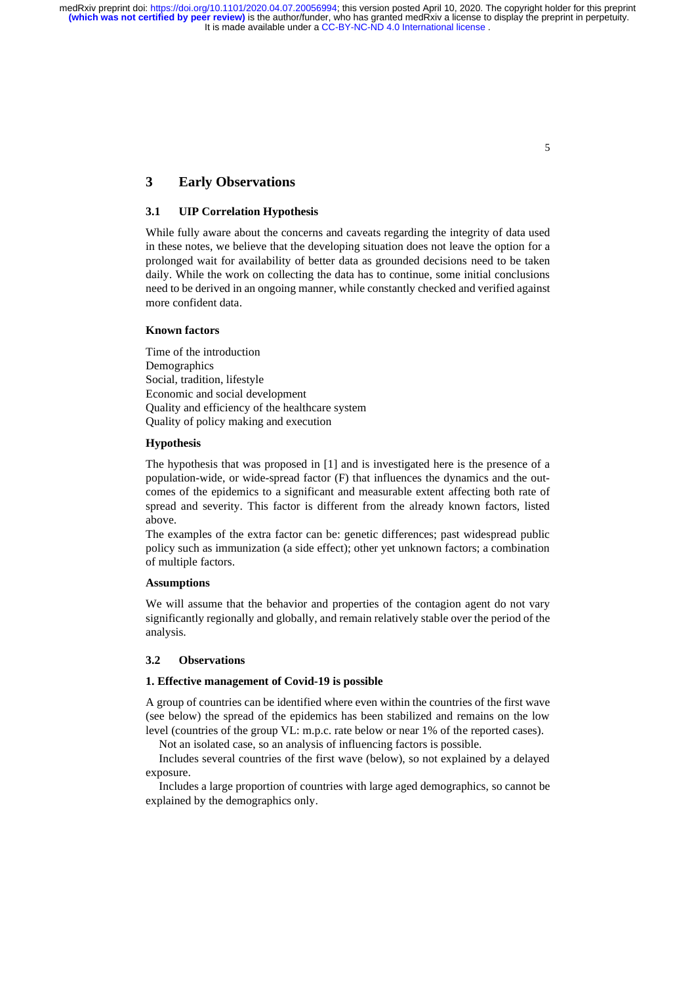# **3 Early Observations**

# **3.1 UIP Correlation Hypothesis**

While fully aware about the concerns and caveats regarding the integrity of data used in these notes, we believe that the developing situation does not leave the option for a prolonged wait for availability of better data as grounded decisions need to be taken daily. While the work on collecting the data has to continue, some initial conclusions need to be derived in an ongoing manner, while constantly checked and verified against more confident data.

### **Known factors**

Time of the introduction Demographics Social, tradition, lifestyle Economic and social development Quality and efficiency of the healthcare system Quality of policy making and execution

### **Hypothesis**

The hypothesis that was proposed in [1] and is investigated here is the presence of a population-wide, or wide-spread factor (F) that influences the dynamics and the outcomes of the epidemics to a significant and measurable extent affecting both rate of spread and severity. This factor is different from the already known factors, listed above.

The examples of the extra factor can be: genetic differences; past widespread public policy such as immunization (a side effect); other yet unknown factors; a combination of multiple factors.

#### **Assumptions**

We will assume that the behavior and properties of the contagion agent do not vary significantly regionally and globally, and remain relatively stable over the period of the analysis.

### **3.2 Observations**

### **1. Effective management of Covid-19 is possible**

A group of countries can be identified where even within the countries of the first wave (see below) the spread of the epidemics has been stabilized and remains on the low level (countries of the group VL: m.p.c. rate below or near 1% of the reported cases).

Not an isolated case, so an analysis of influencing factors is possible.

Includes several countries of the first wave (below), so not explained by a delayed exposure.

Includes a large proportion of countries with large aged demographics, so cannot be explained by the demographics only.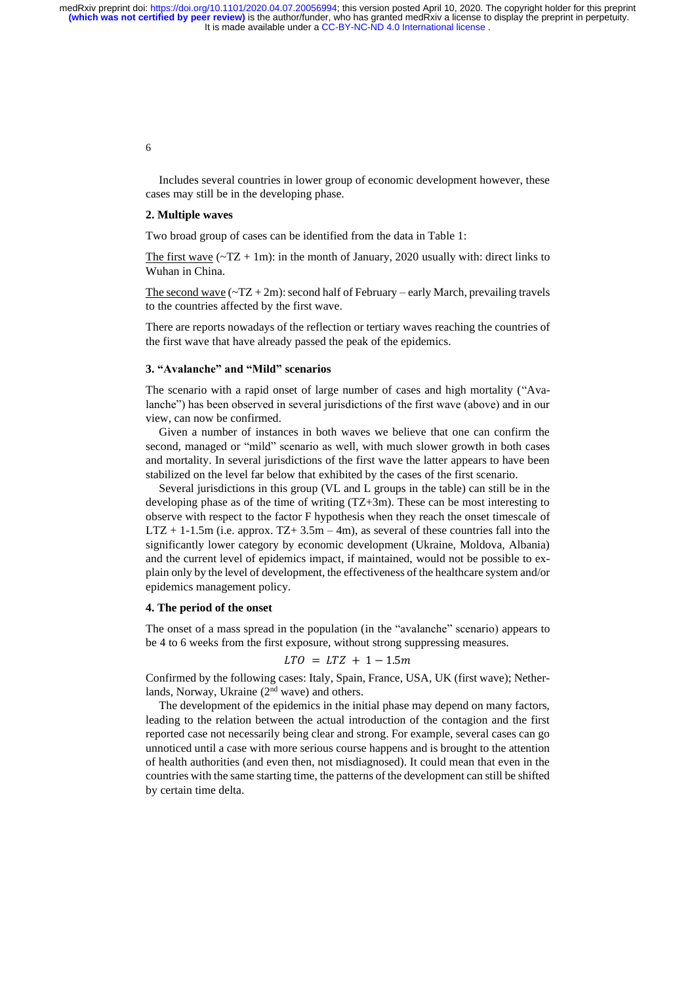> Includes several countries in lower group of economic development however, these cases may still be in the developing phase.

#### **2. Multiple waves**

Two broad group of cases can be identified from the data in Table 1:

The first wave  $({\sim}TZ + 1m)$ : in the month of January, 2020 usually with: direct links to Wuhan in China.

The second wave  $(-TZ + 2m)$ : second half of February – early March, prevailing travels to the countries affected by the first wave.

There are reports nowadays of the reflection or tertiary waves reaching the countries of the first wave that have already passed the peak of the epidemics.

#### **3. "Avalanche" and "Mild" scenarios**

The scenario with a rapid onset of large number of cases and high mortality ("Avalanche") has been observed in several jurisdictions of the first wave (above) and in our view, can now be confirmed.

Given a number of instances in both waves we believe that one can confirm the second, managed or "mild" scenario as well, with much slower growth in both cases and mortality. In several jurisdictions of the first wave the latter appears to have been stabilized on the level far below that exhibited by the cases of the first scenario.

Several jurisdictions in this group (VL and L groups in the table) can still be in the developing phase as of the time of writing (TZ+3m). These can be most interesting to observe with respect to the factor F hypothesis when they reach the onset timescale of  $LTZ + 1-1.5m$  (i.e. approx.  $TZ + 3.5m - 4m$ ), as several of these countries fall into the significantly lower category by economic development (Ukraine, Moldova, Albania) and the current level of epidemics impact, if maintained, would not be possible to explain only by the level of development, the effectiveness of the healthcare system and/or epidemics management policy.

#### **4. The period of the onset**

The onset of a mass spread in the population (in the "avalanche" scenario) appears to be 4 to 6 weeks from the first exposure, without strong suppressing measures.

$$
LTO = LTZ + 1 - 1.5m
$$

Confirmed by the following cases: Italy, Spain, France, USA, UK (first wave); Netherlands, Norway, Ukraine (2<sup>nd</sup> wave) and others.

The development of the epidemics in the initial phase may depend on many factors, leading to the relation between the actual introduction of the contagion and the first reported case not necessarily being clear and strong. For example, several cases can go unnoticed until a case with more serious course happens and is brought to the attention of health authorities (and even then, not misdiagnosed). It could mean that even in the countries with the same starting time, the patterns of the development can still be shifted by certain time delta.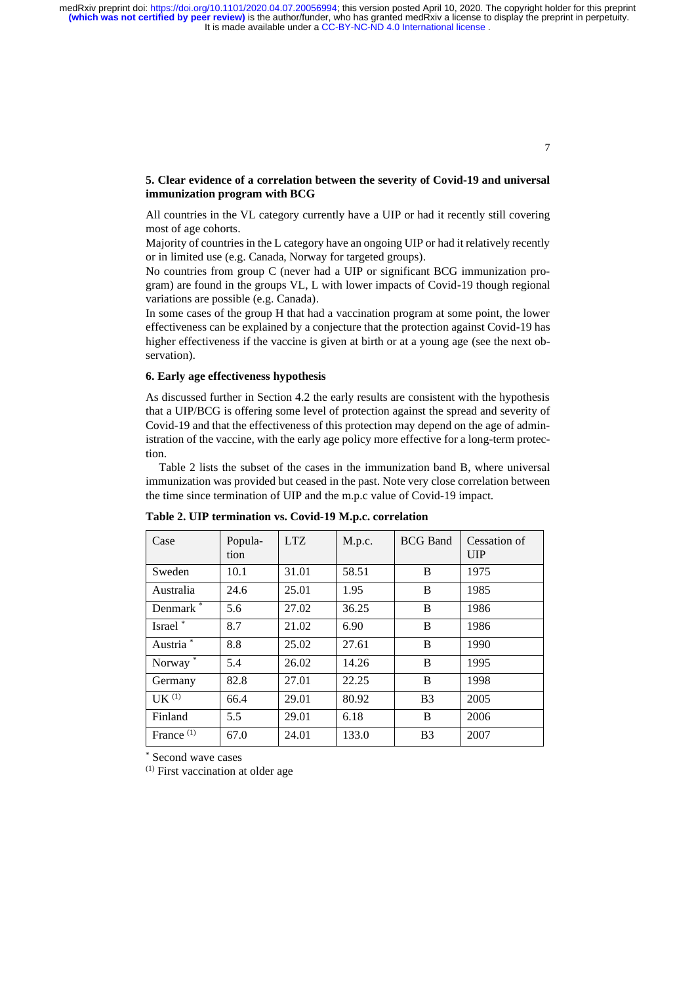## **5. Clear evidence of a correlation between the severity of Covid-19 and universal immunization program with BCG**

All countries in the VL category currently have a UIP or had it recently still covering most of age cohorts.

Majority of countries in the L category have an ongoing UIP or had it relatively recently or in limited use (e.g. Canada, Norway for targeted groups).

No countries from group C (never had a UIP or significant BCG immunization program) are found in the groups VL, L with lower impacts of Covid-19 though regional variations are possible (e.g. Canada).

In some cases of the group H that had a vaccination program at some point, the lower effectiveness can be explained by a conjecture that the protection against Covid-19 has higher effectiveness if the vaccine is given at birth or at a young age (see the next observation).

# **6. Early age effectiveness hypothesis**

As discussed further in Section 4.2 the early results are consistent with the hypothesis that a UIP/BCG is offering some level of protection against the spread and severity of Covid-19 and that the effectiveness of this protection may depend on the age of administration of the vaccine, with the early age policy more effective for a long-term protection.

Table 2 lists the subset of the cases in the immunization band B, where universal immunization was provided but ceased in the past. Note very close correlation between the time since termination of UIP and the m.p.c value of Covid-19 impact.

| Case                  | Popula-<br>tion | <b>LTZ</b> | M.p.c. | <b>BCG</b> Band | Cessation of<br>$_{\rm UIP}$ |
|-----------------------|-----------------|------------|--------|-----------------|------------------------------|
| Sweden                | 10.1            | 31.01      | 58.51  | B               | 1975                         |
| Australia             | 24.6            | 25.01      | 1.95   | B               | 1985                         |
| Denmark <sup>*</sup>  | 5.6             | 27.02      | 36.25  | B               | 1986                         |
| Israel*               | 8.7             | 21.02      | 6.90   | B               | 1986                         |
| Austria <sup>*</sup>  | 8.8             | 25.02      | 27.61  | B               | 1990                         |
| Norway $*$            | 5.4             | 26.02      | 14.26  | B               | 1995                         |
| Germany               | 82.8            | 27.01      | 22.25  | B               | 1998                         |
| $I K^{(1)}$           | 66.4            | 29.01      | 80.92  | B <sub>3</sub>  | 2005                         |
| Finland               | 5.5             | 29.01      | 6.18   | B               | 2006                         |
| France <sup>(1)</sup> | 67.0            | 24.01      | 133.0  | B <sub>3</sub>  | 2007                         |

**Table 2. UIP termination vs. Covid-19 M.p.c. correlation**

\* Second wave cases

(1) First vaccination at older age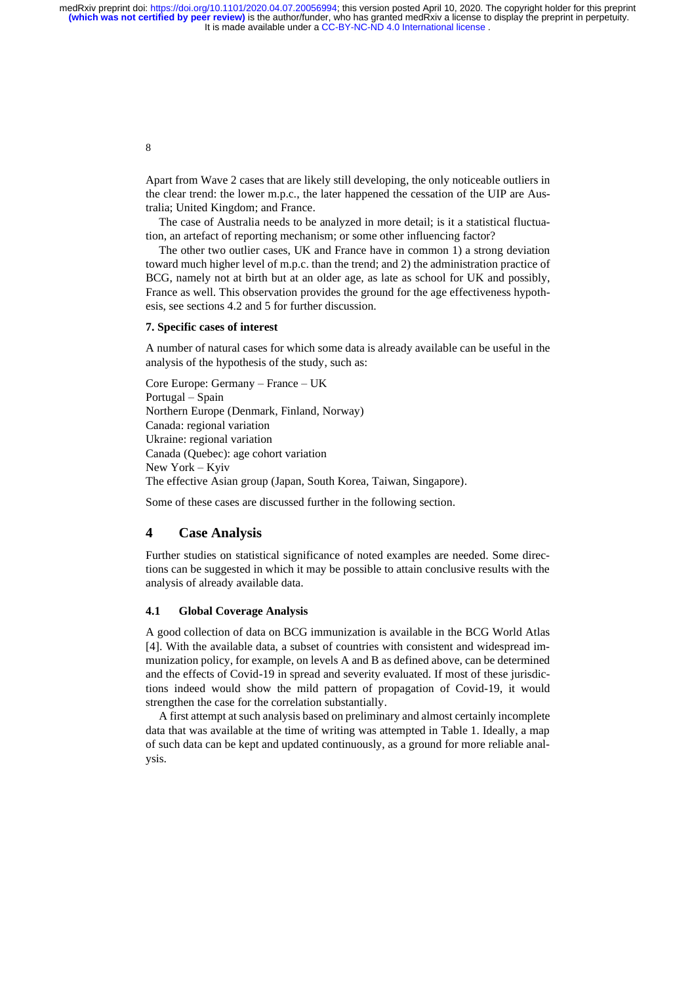> Apart from Wave 2 cases that are likely still developing, the only noticeable outliers in the clear trend: the lower m.p.c., the later happened the cessation of the UIP are Australia; United Kingdom; and France.

> The case of Australia needs to be analyzed in more detail; is it a statistical fluctuation, an artefact of reporting mechanism; or some other influencing factor?

> The other two outlier cases, UK and France have in common 1) a strong deviation toward much higher level of m.p.c. than the trend; and 2) the administration practice of BCG, namely not at birth but at an older age, as late as school for UK and possibly, France as well. This observation provides the ground for the age effectiveness hypothesis, see sections 4.2 and 5 for further discussion.

#### **7. Specific cases of interest**

A number of natural cases for which some data is already available can be useful in the analysis of the hypothesis of the study, such as:

Core Europe: Germany – France – UK Portugal – Spain Northern Europe (Denmark, Finland, Norway) Canada: regional variation Ukraine: regional variation Canada (Quebec): age cohort variation New York – Kyiv The effective Asian group (Japan, South Korea, Taiwan, Singapore).

Some of these cases are discussed further in the following section.

## **4 Case Analysis**

Further studies on statistical significance of noted examples are needed. Some directions can be suggested in which it may be possible to attain conclusive results with the analysis of already available data.

### **4.1 Global Coverage Analysis**

A good collection of data on BCG immunization is available in the BCG World Atlas [4]. With the available data, a subset of countries with consistent and widespread immunization policy, for example, on levels A and B as defined above, can be determined and the effects of Covid-19 in spread and severity evaluated. If most of these jurisdictions indeed would show the mild pattern of propagation of Covid-19, it would strengthen the case for the correlation substantially.

A first attempt at such analysis based on preliminary and almost certainly incomplete data that was available at the time of writing was attempted in Table 1. Ideally, a map of such data can be kept and updated continuously, as a ground for more reliable analysis.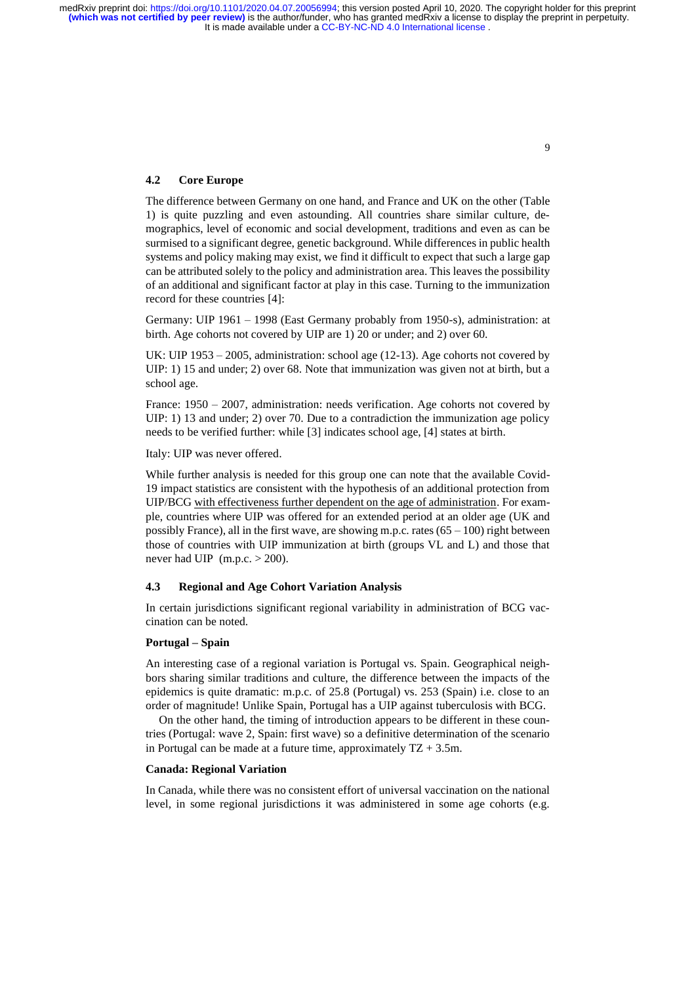### **4.2 Core Europe**

The difference between Germany on one hand, and France and UK on the other (Table 1) is quite puzzling and even astounding. All countries share similar culture, demographics, level of economic and social development, traditions and even as can be surmised to a significant degree, genetic background. While differences in public health systems and policy making may exist, we find it difficult to expect that such a large gap can be attributed solely to the policy and administration area. This leaves the possibility of an additional and significant factor at play in this case. Turning to the immunization record for these countries [4]:

Germany: UIP 1961 – 1998 (East Germany probably from 1950-s), administration: at birth. Age cohorts not covered by UIP are 1) 20 or under; and 2) over 60.

UK: UIP 1953 – 2005, administration: school age (12-13). Age cohorts not covered by UIP: 1) 15 and under; 2) over 68. Note that immunization was given not at birth, but a school age.

France: 1950 – 2007, administration: needs verification. Age cohorts not covered by UIP: 1) 13 and under; 2) over 70. Due to a contradiction the immunization age policy needs to be verified further: while [3] indicates school age, [4] states at birth.

Italy: UIP was never offered.

While further analysis is needed for this group one can note that the available Covid-19 impact statistics are consistent with the hypothesis of an additional protection from UIP/BCG with effectiveness further dependent on the age of administration. For example, countries where UIP was offered for an extended period at an older age (UK and possibly France), all in the first wave, are showing m.p.c. rates  $(65 - 100)$  right between those of countries with UIP immunization at birth (groups VL and L) and those that never had UIP  $(m.p.c. > 200)$ .

### **4.3 Regional and Age Cohort Variation Analysis**

In certain jurisdictions significant regional variability in administration of BCG vaccination can be noted.

#### **Portugal – Spain**

An interesting case of a regional variation is Portugal vs. Spain. Geographical neighbors sharing similar traditions and culture, the difference between the impacts of the epidemics is quite dramatic: m.p.c. of 25.8 (Portugal) vs. 253 (Spain) i.e. close to an order of magnitude! Unlike Spain, Portugal has a UIP against tuberculosis with BCG.

On the other hand, the timing of introduction appears to be different in these countries (Portugal: wave 2, Spain: first wave) so a definitive determination of the scenario in Portugal can be made at a future time, approximately  $TZ + 3.5m$ .

#### **Canada: Regional Variation**

In Canada, while there was no consistent effort of universal vaccination on the national level, in some regional jurisdictions it was administered in some age cohorts (e.g.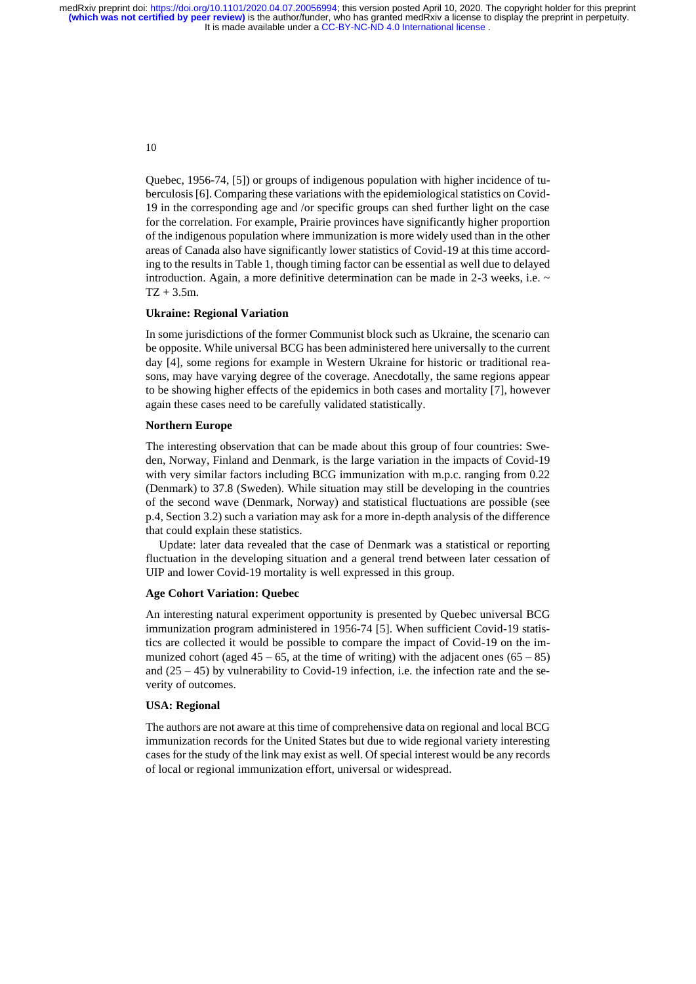> Quebec, 1956-74, [5]) or groups of indigenous population with higher incidence of tuberculosis[6]. Comparing these variations with the epidemiological statistics on Covid-19 in the corresponding age and /or specific groups can shed further light on the case for the correlation. For example, Prairie provinces have significantly higher proportion of the indigenous population where immunization is more widely used than in the other areas of Canada also have significantly lower statistics of Covid-19 at this time according to the results in Table 1, though timing factor can be essential as well due to delayed introduction. Again, a more definitive determination can be made in  $2-3$  weeks, i.e.  $\sim$  $TZ + 3.5m$ .

#### **Ukraine: Regional Variation**

In some jurisdictions of the former Communist block such as Ukraine, the scenario can be opposite. While universal BCG has been administered here universally to the current day [4], some regions for example in Western Ukraine for historic or traditional reasons, may have varying degree of the coverage. Anecdotally, the same regions appear to be showing higher effects of the epidemics in both cases and mortality [7], however again these cases need to be carefully validated statistically.

#### **Northern Europe**

The interesting observation that can be made about this group of four countries: Sweden, Norway, Finland and Denmark, is the large variation in the impacts of Covid-19 with very similar factors including BCG immunization with m.p.c. ranging from 0.22 (Denmark) to 37.8 (Sweden). While situation may still be developing in the countries of the second wave (Denmark, Norway) and statistical fluctuations are possible (see p.4, Section 3.2) such a variation may ask for a more in-depth analysis of the difference that could explain these statistics.

Update: later data revealed that the case of Denmark was a statistical or reporting fluctuation in the developing situation and a general trend between later cessation of UIP and lower Covid-19 mortality is well expressed in this group.

#### **Age Cohort Variation: Quebec**

An interesting natural experiment opportunity is presented by Quebec universal BCG immunization program administered in 1956-74 [5]. When sufficient Covid-19 statistics are collected it would be possible to compare the impact of Covid-19 on the immunized cohort (aged  $45 - 65$ , at the time of writing) with the adjacent ones  $(65 - 85)$ and  $(25 - 45)$  by vulnerability to Covid-19 infection, i.e. the infection rate and the severity of outcomes.

### **USA: Regional**

The authors are not aware at this time of comprehensive data on regional and local BCG immunization records for the United States but due to wide regional variety interesting cases for the study of the link may exist as well. Of special interest would be any records of local or regional immunization effort, universal or widespread.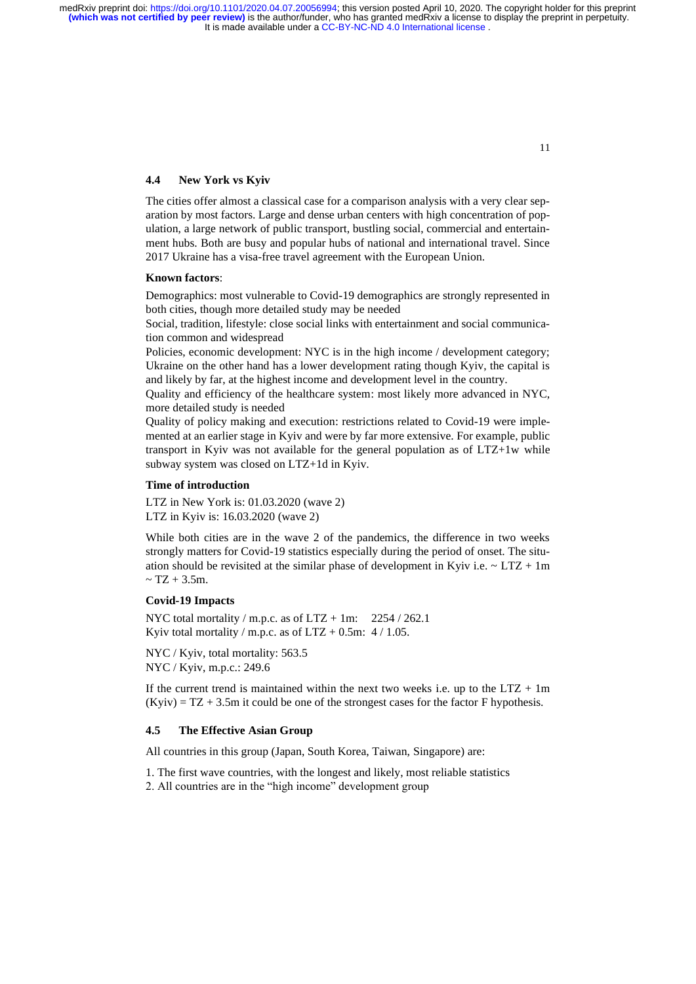### **4.4 New York vs Kyiv**

The cities offer almost a classical case for a comparison analysis with a very clear separation by most factors. Large and dense urban centers with high concentration of population, a large network of public transport, bustling social, commercial and entertainment hubs. Both are busy and popular hubs of national and international travel. Since 2017 Ukraine has a visa-free travel agreement with the European Union.

### **Known factors**:

Demographics: most vulnerable to Covid-19 demographics are strongly represented in both cities, though more detailed study may be needed

Social, tradition, lifestyle: close social links with entertainment and social communication common and widespread

Policies, economic development: NYC is in the high income / development category; Ukraine on the other hand has a lower development rating though Kyiv, the capital is and likely by far, at the highest income and development level in the country.

Quality and efficiency of the healthcare system: most likely more advanced in NYC, more detailed study is needed

Quality of policy making and execution: restrictions related to Covid-19 were implemented at an earlier stage in Kyiv and were by far more extensive. For example, public transport in Kyiv was not available for the general population as of LTZ+1w while subway system was closed on LTZ+1d in Kyiv.

### **Time of introduction**

LTZ in New York is: 01.03.2020 (wave 2) LTZ in Kyiv is: 16.03.2020 (wave 2)

While both cities are in the wave 2 of the pandemics, the difference in two weeks strongly matters for Covid-19 statistics especially during the period of onset. The situation should be revisited at the similar phase of development in Kyiv i.e.  $\sim$  LTZ + 1m  $~\sim$  TZ + 3.5m.

### **Covid-19 Impacts**

NYC total mortality / m.p.c. as of  $LTZ + 1m$ : 2254 / 262.1 Kyiv total mortality / m.p.c. as of  $LTZ + 0.5m$ : 4 / 1.05.

NYC / Kyiv, total mortality: 563.5 NYC / Kyiv, m.p.c.: 249.6

If the current trend is maintained within the next two weeks i.e. up to the  $LTZ + 1m$  $(Kyiv) = TZ + 3.5m$  it could be one of the strongest cases for the factor F hypothesis.

### **4.5 The Effective Asian Group**

All countries in this group (Japan, South Korea, Taiwan, Singapore) are:

1. The first wave countries, with the longest and likely, most reliable statistics

2. All countries are in the "high income" development group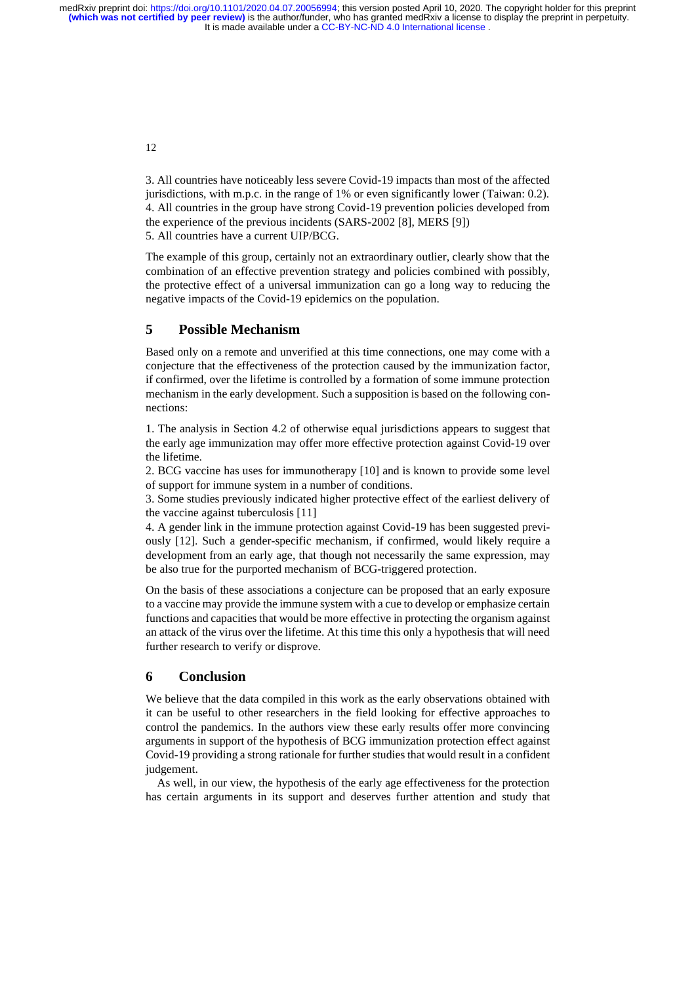> 3. All countries have noticeably less severe Covid-19 impacts than most of the affected jurisdictions, with m.p.c. in the range of 1% or even significantly lower (Taiwan: 0.2). 4. All countries in the group have strong Covid-19 prevention policies developed from the experience of the previous incidents (SARS-2002 [8], MERS [9]) 5. All countries have a current UIP/BCG.

> The example of this group, certainly not an extraordinary outlier, clearly show that the combination of an effective prevention strategy and policies combined with possibly, the protective effect of a universal immunization can go a long way to reducing the negative impacts of the Covid-19 epidemics on the population.

# **5 Possible Mechanism**

Based only on a remote and unverified at this time connections, one may come with a conjecture that the effectiveness of the protection caused by the immunization factor, if confirmed, over the lifetime is controlled by a formation of some immune protection mechanism in the early development. Such a supposition is based on the following connections:

1. The analysis in Section 4.2 of otherwise equal jurisdictions appears to suggest that the early age immunization may offer more effective protection against Covid-19 over the lifetime.

2. BCG vaccine has uses for immunotherapy [10] and is known to provide some level of support for immune system in a number of conditions.

3. Some studies previously indicated higher protective effect of the earliest delivery of the vaccine against tuberculosis [11]

4. A gender link in the immune protection against Covid-19 has been suggested previously [12]. Such a gender-specific mechanism, if confirmed, would likely require a development from an early age, that though not necessarily the same expression, may be also true for the purported mechanism of BCG-triggered protection.

On the basis of these associations a conjecture can be proposed that an early exposure to a vaccine may provide the immune system with a cue to develop or emphasize certain functions and capacities that would be more effective in protecting the organism against an attack of the virus over the lifetime. At this time this only a hypothesis that will need further research to verify or disprove.

### **6 Conclusion**

We believe that the data compiled in this work as the early observations obtained with it can be useful to other researchers in the field looking for effective approaches to control the pandemics. In the authors view these early results offer more convincing arguments in support of the hypothesis of BCG immunization protection effect against Covid-19 providing a strong rationale for further studies that would result in a confident judgement.

As well, in our view, the hypothesis of the early age effectiveness for the protection has certain arguments in its support and deserves further attention and study that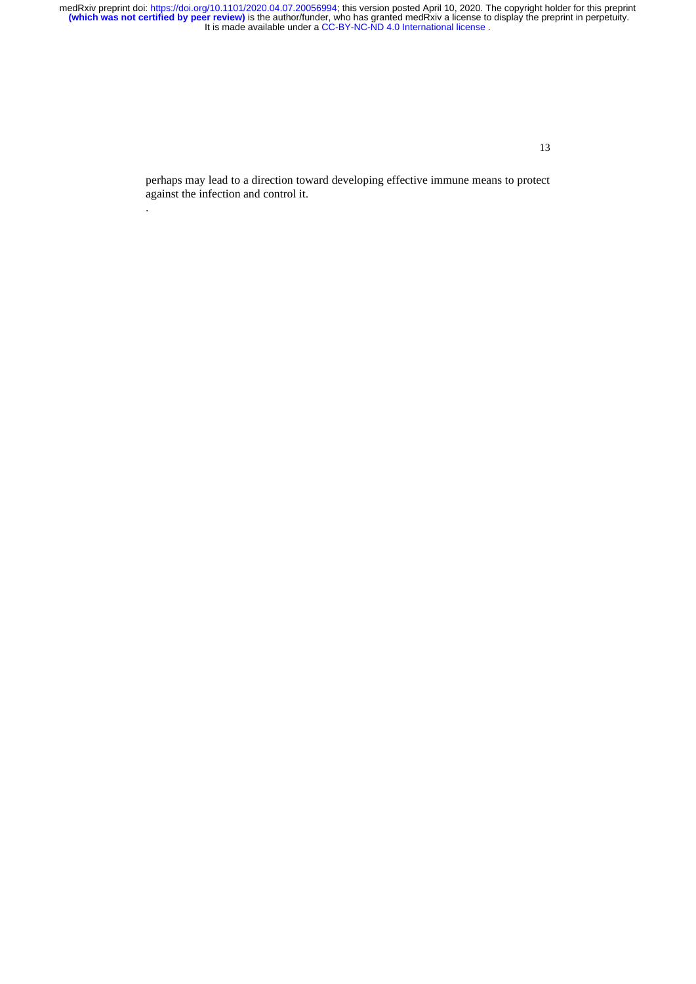It is made available under a [CC-BY-NC-ND 4.0 International license](http://creativecommons.org/licenses/by-nc-nd/4.0/) . medRxiv preprint doi: [https://doi.org/10.1101/2020.04.07.20056994;](https://doi.org/10.1101/2020.04.07.20056994) this version posted April 10, 2020. The copyright holder for this preprint<br>(which was not certified by peer review) is the author/funder, who has granted m

13

perhaps may lead to a direction toward developing effective immune means to protect against the infection and control it.

.